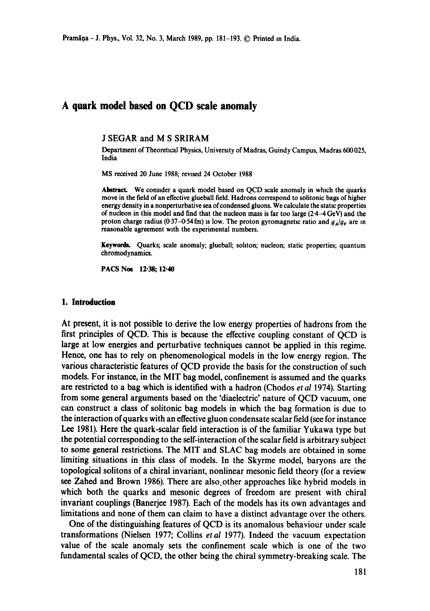# **A quark model based on QCD scale anomaly**

**J** SEGAR and **M S** SRIRAM

Department of Theoretical Physics, University of Madras, Guindy Campus, Madras 600 025, India

MS received 20 June 1988; rewsed 24 October 1988

Abstract. We consider a quark model based on QCD scale anomaly in which the quarks move in the field of an effective glueball field. Hadrons correspond to solitonic bags of higher energy density in a nonperturbative sea of condensed gluons. We calculate the static properties of nucleon in this model and find that the nucleon mass is far too large  $(2.4 - 4 \text{ GeV})$  and the proton charge radius (0.37-0.54 fm) is low. The proton gyromagnetic ratio and  $g_A/g_V$  are in reasonable agreement wtth the experimental numbers.

Keywords. Quarks; scale anomaly; glueball; sohton; nucleon; static properties; quantum chromodynamics.

PACS Nos 12.38; 12.40

### **1. Introduction**

At present, it is not possible to derive the low energy properties of hadrons from the first principles of QCD. This is because the effective coupling constant of QCD is large at low energies and perturbative techniques cannot be applied in this regime. Hence, one has to rely on phenomenological models in the low energy region. The various characteristic features of QCD provide the basis for the construction of such models. For instance, in the MIT bag model, confinement is assumed and the quarks are restricted to a bag which is identified with a hadron (Chodos *et al* 1974). Starting from some general arguments based on the 'diaelectric' nature of QCD vacuum, one can construct a class of solitonic bag models in which the bag formation is due to the interaction of quarks with an effective gluon condensate scalar field (see for instance Lee 1981). Here the quark-scalar field interaction is of the familiar Yukawa type but the potential corresponding to the self-interaction of the scalar field is arbitrary subject to some general restrictions. The MIT and SLAC bag models are obtained in some limiting situations in this class of models. In the Skyrme model, baryons are the topological solitons of a chiral invariant, nonlinear mesonic field theory (for a review see Zahed and Brown 1986). There are also other approaches like hybrid models in which both the quarks and mesonic degrees of freedom are present with chiral invariant couplings (Banerjee 1987). Each of the models has its own advantages and limitations and none of them can claim to have a distinct advantage over the others.

One of the distinguishing features of QCD is its anomalous behaviour under scale transformations (Nielsen 1977; Collins *etai* 1977). Indeed the vacuum expectation value of the scale anomaly sets the confinement scale which is one of the two fundamental scales of QCD, the other being the chiral symmetry-breaking scale. The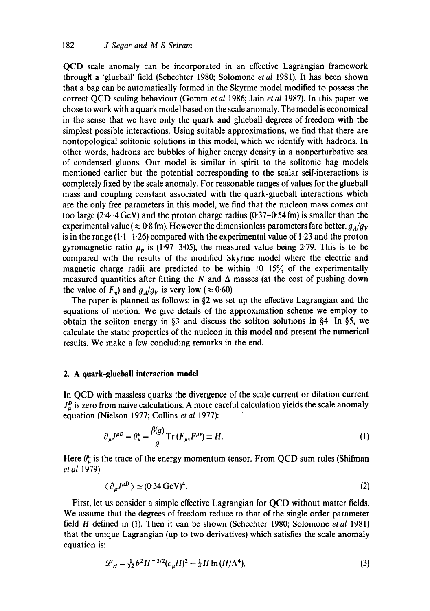QCD scale anomaly can be incorporated in an effective Lagrangian framework througll a 'glueball' field (Schechter 1980; Solomone *etal* 1981). It has been shown that a bag can be automatically formed in the Skyrme model modified to possess the correct QCD scaling behaviour (Gomm *et al* 1986; Jain *etal* 1987). In this paper we chose to work with a quark model based on the scale anomaly. The model is economical in the sense that we have only the quark and glueball degrees of freedom with the simplest possible interactions. Using suitable approximations, we find that there are nontopological solitonic solutions in this model, which we identify with hadrons. In other words, hadrons are bubbles of higher energy density in a nonperturbative sea of condensed gluons. Our model is similar in spirit to the solitonic bag models mentioned earlier but the potential corresponding to the scalar self-interactions is completely fixed by the scale anomaly. For reasonable ranges of values for the glueball mass and coupling constant associated with the quark-glueball interactions which are the only free parameters in this model, we find that the nucleon mass comes out too large (2.4-4 GeV) and the proton charge radius (0.37-0.54 fm) is smaller than the experimental value ( $\approx 0.8$  fm). However the dimensionless parameters fare better,  $g_A/g_V$ is in the range  $(1 \cdot 1 - 1 \cdot 26)$  compared with the experimental value of 1.23 and the proton gyromagnetic ratio  $\mu_p$  is (1.97–3.05), the measured value being 2.79. This is to be compared with the results of the modified Skyrme model where the electric and magnetic charge radii are predicted to be within  $10-15\%$  of the experimentally measured quantities after fitting the N and  $\Delta$  masses (at the cost of pushing down the value of  $F_{\tau}$ ) and  $g_{A}/g_{V}$  is very low ( $\approx 0.60$ ).

The paper is planned as follows: in  $\S2$  we set up the effective Lagrangian and the equations of motion. We give details of the approximation scheme we employ to obtain the soliton energy in §3 and discuss the soliton solutions in §4. In §5, we calculate the static properties of the nucleon in this model and present the numerical results. We make a few concluding remarks in the end.

### **2. A quark-gluebali interaction model**

In QCD with massless quarks the divergence of the scale current or dilation current  $J_{\mu}^{D}$  is zero from naive calculations. A more careful calculation yields the scale anomaly equation (Nielson 1977; Collins *et al* 1977):

$$
\partial_{\mu}J^{\mu}D = \theta_{\mu}^{\mu} = \frac{\beta(g)}{g} \operatorname{Tr} \left( F_{\mu\nu} F^{\mu\nu} \right) \equiv H. \tag{1}
$$

Here  $\theta_u^{\mu}$  is the trace of the energy momentum tensor. From QCD sum rules (Shifman *et al* 1979)

$$
\langle \partial_{\mu} J^{\mu} D \rangle \simeq (0.34 \,\text{GeV})^4. \tag{2}
$$

First, let us consider a simple effective Lagrangian for QCD without matter fields. We assume that the degrees of freedom reduce to that of the single order parameter field H defined in (1). Then it can be shown (Schechter 1980; Solomone *etal* 1981) that the unique Lagrangian (up to two derivatives) which satisfies the scale anomaly equation is:

$$
\mathcal{L}_H = \frac{1}{32} b^2 H^{-3/2} (\partial_\mu H)^2 - \frac{1}{4} H \ln(H/\Lambda^4), \tag{3}
$$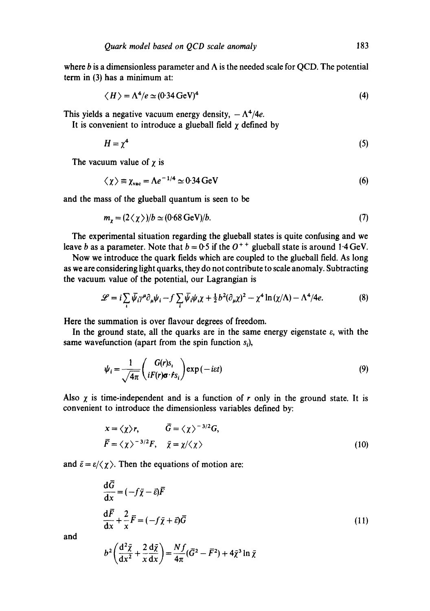where b is a dimensionless parameter and  $\Lambda$  is the needed scale for OCD. The potential term in (3) has a minimum at:

$$
\langle H \rangle = \Lambda^4 / e \simeq (0.34 \,\text{GeV})^4 \tag{4}
$$

This yields a negative vacuum energy density,  $-\Lambda^4/4e$ .

It is convenient to introduce a glueball field  $\gamma$  defined by

$$
H = \chi^4 \tag{5}
$$

The vacuum value of  $\chi$  is

$$
\langle \chi \rangle \equiv \chi_{\text{vac}} = \Lambda e^{-1/4} \simeq 0.34 \,\text{GeV} \tag{6}
$$

and the mass of the glueball quantum is seen to be

$$
m_{\chi} = (2 \langle \chi \rangle)/b \simeq (0.68 \,\text{GeV})/b. \tag{7}
$$

The experimental situation regarding the glueball states is quite confusing and we leave b as a parameter. Note that  $b = 0.5$  if the  $O<sup>++</sup>$  glueball state is around 1.4 GeV.

Now we introduce the quark fields which are coupled to the glueball field. As long as we are considering light quarks, they do not contribute to scale anomaly. Subtracting the vacuum value of the potential, our Lagrangian is

$$
\mathcal{L} = i \sum_{i} \bar{\psi}_{i} \gamma^{\mu} \partial_{\mu} \psi_{i} - f \sum_{i} \bar{\psi}_{i} \psi_{i} \chi + \frac{1}{2} b^{2} (\partial_{\mu} \chi)^{2} - \chi^{4} \ln(\chi/\Lambda) - \Lambda^{4}/4e. \tag{8}
$$

Here the summation is over flavour degrees of freedom.

In the ground state, all the quarks are in the same energy eigenstate  $\varepsilon$ , with the same wavefunction (apart from the spin function  $s_i$ ),

$$
\psi_i = \frac{1}{\sqrt{4\pi}} \begin{pmatrix} G(r)s_i \\ iF(r)\sigma \cdot \dot{r}s_i \end{pmatrix} \exp(-i\epsilon t) \tag{9}
$$

Also  $\chi$  is time-independent and is a function of r only in the ground state. It is convenient to introduce the dimensionless variables defined by:

$$
x = \langle \chi \rangle r, \qquad \bar{G} = \langle \chi \rangle^{-3/2} G,
$$
  

$$
\bar{F} = \langle \chi \rangle^{-3/2} F, \quad \bar{\chi} = \chi / \langle \chi \rangle
$$
 (10)

and  $\bar{\varepsilon} = \varepsilon / \langle \chi \rangle$ . Then the equations of motion are:

$$
\frac{d\vec{G}}{dx} = (-f\bar{\chi} - \bar{\varepsilon})\vec{F}
$$
  

$$
\frac{d\vec{F}}{dx} + \frac{2}{x}\vec{F} = (-f\bar{\chi} + \bar{\varepsilon})\vec{G}
$$
 (11)

and

$$
b^2 \left( \frac{\mathrm{d}^2 \bar{\chi}}{\mathrm{d} x^2} + \frac{2}{x} \frac{\mathrm{d} \bar{\chi}}{\mathrm{d} x} \right) = \frac{N f}{4\pi} (\bar{G}^2 - \bar{F}^2) + 4\bar{\chi}^3 \ln \bar{\chi}
$$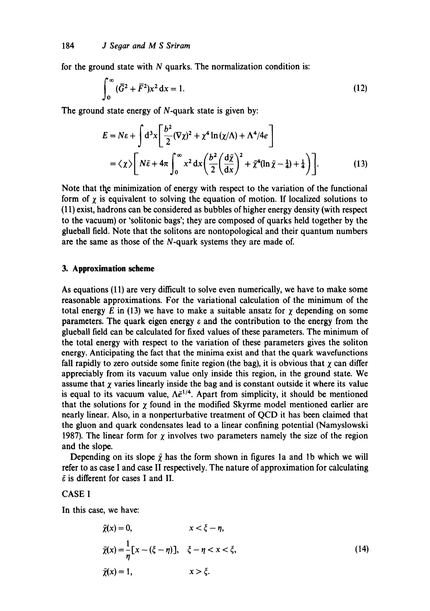for the ground state with  $N$  quarks. The normalization condition is:

$$
\int_0^\infty (\bar{G}^2 + \bar{F}^2) x^2 dx = 1.
$$
 (12)

The ground state energy of N-quark state is given by:

$$
E = N\varepsilon + \int d^3x \left[ \frac{b^2}{2} (\nabla \chi)^2 + \chi^4 \ln(\chi/\Lambda) + \Lambda^4/4e \right]
$$
  
=  $\langle \chi \rangle \left[ N\bar{\varepsilon} + 4\pi \int_0^\infty x^2 dx \left( \frac{b^2}{2} \left( \frac{d\bar{\chi}}{dx} \right)^2 + \bar{\chi}^4 (\ln \bar{\chi} - \frac{1}{4}) + \frac{1}{4} \right) \right].$  (13)

Note that the minimization of energy with respect to the variation of the functional form of  $\gamma$  is equivalent to solving the equation of motion. If localized solutions to (11) exist, hadrons can be considered as bubbles of higher energy density (with respect to the vacuum) or 'solitonic bags'; they are composed of quarks held together by the glueball field. Note that the solitons are nontopological and their quantum numbers are the same as those of the N-quark systems they are made of.

### **3. Approximation scheme**

As equations (11) are very difficult to solve even numerically, we have to make some reasonable approximations. For the variational calculation of the minimum of the total energy E in (13) we have to make a suitable ansatz for  $\chi$  depending on some parameters. The quark eigen energy  $\varepsilon$  and the contribution to the energy from the glueball field can be calculated for fixed values of these parameters. The minimum of the total energy with respect to the variation of these parameters gives the soliton energy. Anticipating the fact that the minima exist and that the quark wavefunctions fall rapidly to zero outside some finite region (the bag), it is obvious that  $\chi$  can differ appreciably from its vacuum value only inside this region, in the ground state. We assume that  $\chi$  varies linearly inside the bag and is constant outside it where its value is equal to its vacuum value,  $\Lambda \bar{e}^{1/4}$ . Apart from simplicity, it should be mentioned that the solutions for  $\gamma$  found in the modified Skyrme model mentioned earlier are nearly linear. Also, in a nonperturbative treatment of QCD it has been claimed that the gluon and quark condensates lead to a linear confining potential (Namyslowski 1987). The linear form for  $\gamma$  involves two parameters namely the size of the region and the slope.

Depending on its slope  $\bar{\chi}$  has the form shown in figures 1a and 1b which we will refer to as case I and case II respectively. The nature of approximation for calculating  $\bar{\varepsilon}$  is different for cases I and II.

# CASE I

In this case, we have:

$$
\bar{\chi}(x) = 0, \qquad x < \xi - \eta,
$$
  
\n
$$
\bar{\chi}(x) = \frac{1}{\eta} [x - (\xi - \eta)], \quad \xi - \eta < x < \xi,
$$
  
\n
$$
\bar{\chi}(x) = 1, \qquad x > \xi.
$$
\n(14)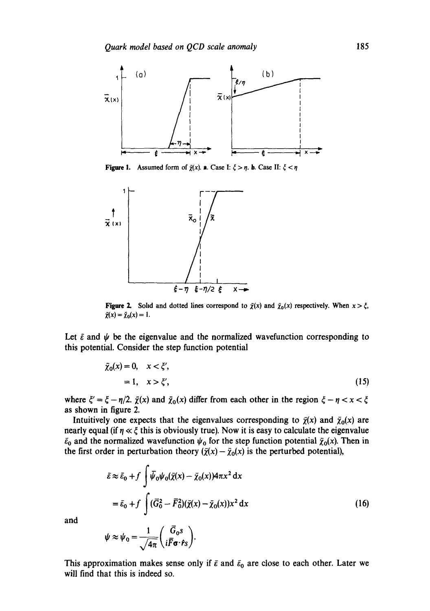

**Figure 1.** Assumed form of  $\bar{\chi}(x)$ . **a**. Case I:  $\zeta > \eta$ . **b**. Case II:  $\zeta < \eta$ 



Figure 2. Solid and dotted lines correspond to  $\tilde{\chi}(x)$  and  $\bar{\chi}_0(x)$  respectively. When  $x > \xi$ ,  $\bar{\chi}(x) = \bar{\chi}_0(x) = 1.$ 

Let  $\bar{\varepsilon}$  and  $\psi$  be the eigenvalue and the normalized wavefunction corresponding to this potential. Consider the step function potential

$$
\bar{\chi}_0(x) = 0, \quad x < \xi',
$$
\n
$$
= 1, \quad x > \xi', \tag{15}
$$

where  $\zeta' = \zeta - \eta/2$ .  $\bar{\chi}(x)$  and  $\bar{\chi}_0(x)$  differ from each other in the region  $\zeta - \eta < x < \zeta$ as shown in figure 2.

Intuitively one expects that the eigenvalues corresponding to  $\bar{\chi}(x)$  and  $\bar{\chi}_0(x)$  are nearly equal (if  $\eta \ll \xi$  this is obviously true). Now it is easy to calculate the eigenvalue  $\bar{\epsilon}_0$  and the normalized wavefunction  $\psi_0$  for the step function potential  $\bar{\chi}_0(x)$ . Then in the first order in perturbation theory  $({\bar \chi}(x) - {\bar \chi}_0(x))$  is the perturbed potential),

$$
\bar{\varepsilon} \approx \bar{\varepsilon}_0 + f \int \bar{\psi}_0 \psi_0(\bar{\chi}(x) - \bar{\chi}_0(x)) 4\pi x^2 dx
$$
  
=  $\bar{\varepsilon}_0 + f \int (\bar{G}_0^2 - \bar{F}_0^2)(\bar{\chi}(x) - \bar{\chi}_0(x)) x^2 dx$  (16)

and

$$
\psi \approx \psi_0 = \frac{1}{\sqrt{4\pi}} \left( \frac{\bar{G}_0 s}{i \bar{F} \sigma \cdot \hat{r}_S} \right).
$$

This approximation makes sense only if  $\bar{\varepsilon}$  and  $\bar{\varepsilon}_0$  are close to each other. Later we will find that this is indeed so.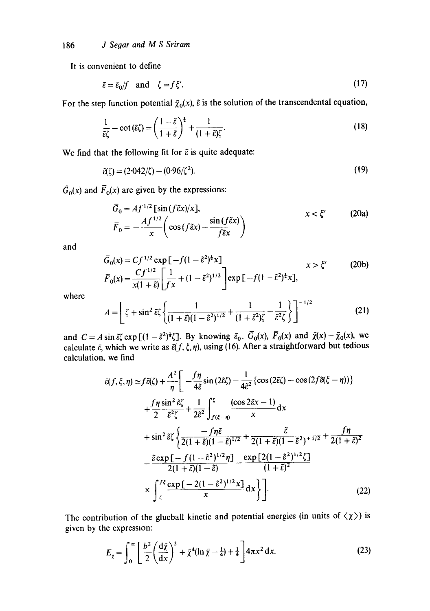It is convenient to define

$$
\tilde{\varepsilon} = \bar{\varepsilon}_0 / f \quad \text{and} \quad \zeta = f \, \xi'.
$$

For the step function potential  $\bar{\chi}_0(x)$ ,  $\tilde{\epsilon}$  is the solution of the transcendental equation,

$$
\frac{1}{\tilde{\varepsilon}\zeta} - \cot(\tilde{\varepsilon}\zeta) = \left(\frac{1-\tilde{\varepsilon}}{1+\tilde{\varepsilon}}\right)^{\frac{1}{2}} + \frac{1}{(1+\tilde{\varepsilon})\zeta}.
$$
\n(18)

We find that the following fit for  $\tilde{\varepsilon}$  is quite adequate:

$$
\tilde{c}(\zeta) = (2.042/\zeta) - (0.96/\zeta^2). \tag{19}
$$

 $\bar{G}_0(x)$  and  $\bar{F}_0(x)$  are given by the expressions:

$$
\overline{G}_0 = Af^{1/2} \left[ \sin(f \tilde{\epsilon} x) / x \right], \qquad x < \xi' \qquad \text{(20a)}
$$
\n
$$
\overline{F}_0 = -\frac{Af^{1/2}}{x} \left( \cos(f \tilde{\epsilon} x) - \frac{\sin(f \tilde{\epsilon} x)}{f \tilde{\epsilon} x} \right)
$$

and

$$
\bar{G}_0(x) = Cf^{1/2} \exp\left[-f(1-\tilde{\varepsilon}^2)^{\frac{1}{2}}x\right] \qquad \qquad x > \xi'
$$
\n(20b)  
\n
$$
\bar{F}_0(x) = \frac{Cf^{1/2}}{x(1+\tilde{\varepsilon})} \left[\frac{1}{fx} + (1-\tilde{\varepsilon}^2)^{1/2}\right] \exp\left[-f(1-\tilde{\varepsilon}^2)^{\frac{1}{2}}x\right],
$$

where

$$
A = \left[ \zeta + \sin^2 \tilde{\varepsilon} \zeta \left\{ \frac{1}{(1+\tilde{\varepsilon})(1-\tilde{\varepsilon}^2)^{1/2}} + \frac{1}{(1+\tilde{\varepsilon}^2)\zeta} - \frac{1}{\tilde{\varepsilon}^2 \zeta} \right\} \right]^{-1/2}
$$
(21)

and  $C = A \sin{\tilde{\varepsilon}} \zeta \exp[(1 - {\tilde{\varepsilon}}^2)^2 \zeta]$ . By knowing  $\tilde{\varepsilon}_0$ ,  $G_0(x)$ ,  $F_0(x)$  and  $\chi(x) - \chi_0(x)$ , we calculate  $\bar{\varepsilon}$ , which we write as  $\bar{\varepsilon}(f, \xi, \eta)$ , using (16). After a straightforward but tedious calculation, we find

$$
\bar{\varepsilon}(f, \xi, \eta) \simeq f \tilde{\varepsilon}(\zeta) + \frac{A^2}{\eta} \left[ -\frac{f\eta}{4\tilde{\varepsilon}} \sin(2\tilde{\varepsilon}\zeta) - \frac{1}{4\tilde{\varepsilon}^2} \{\cos(2\tilde{\varepsilon}\zeta) - \cos(2f\tilde{\varepsilon}(\xi - \eta)) \} + \frac{f\eta \sin^2 \tilde{\varepsilon}\zeta}{2} + \frac{1}{2\tilde{\varepsilon}^2} \int_{f(\xi - \eta)}^{\zeta} \frac{(\cos 2\tilde{\varepsilon}x - 1)}{x} dx
$$
  
+  $\sin^2 \tilde{\varepsilon}\zeta \left\{ \frac{-f\eta \tilde{\varepsilon}}{2(1 + \tilde{\varepsilon})(1 - \tilde{\varepsilon})^{1/2}} + \frac{\tilde{\varepsilon}}{2(1 + \tilde{\varepsilon})(1 - \tilde{\varepsilon}^2)^{1/2} + 2(1 + \tilde{\varepsilon})(1 - \tilde{\varepsilon}^2)} + \frac{f\eta}{2(1 + \tilde{\varepsilon})^2} - \frac{\tilde{\varepsilon} \exp\left[-\int (1 - \tilde{\varepsilon}^2)^{1/2} \eta\right]}{2(1 + \tilde{\varepsilon})(1 - \tilde{\varepsilon})} - \frac{\exp\left[2(1 - \tilde{\varepsilon}^2)^{1/2}\zeta\right]}{(1 + \tilde{\varepsilon})^2} + \frac{f^{\frac{1}{\tilde{\varepsilon}}}}{2} \left[ \frac{\exp\left[-2(1 - \tilde{\varepsilon}^2)^{1/2}x\right]}{x} dx \right\} \right].$  (22)

The contribution of the glueball kinetic and potential energies (in units of  $\langle \chi \rangle$ ) is given by the expression:

$$
E_{\tilde{\chi}} = \int_0^\infty \left[ \frac{b^2}{2} \left( \frac{\mathrm{d}\bar{\chi}}{\mathrm{d}x} \right)^2 + \bar{\chi}^4 (\ln \bar{\chi} - \frac{1}{4}) + \frac{1}{4} \right] 4\pi x^2 \,\mathrm{d}x. \tag{23}
$$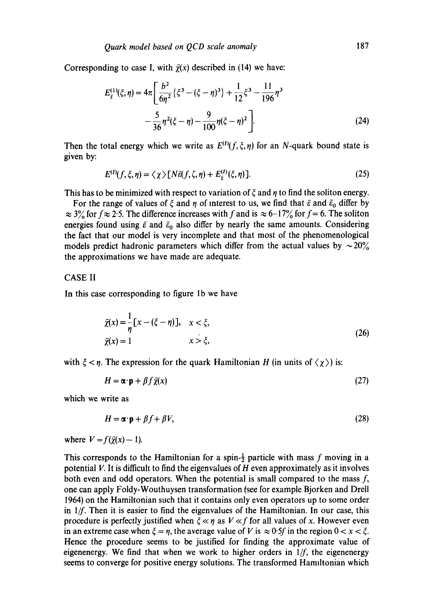Corresponding to case I, with  $\bar{\chi}(x)$  described in (14) we have:

$$
E_{\tilde{\chi}}^{(1)}(\xi,\eta) = 4\pi \left[ \frac{b^2}{6\eta^2} \left\{ \xi^3 - (\xi - \eta)^3 \right\} + \frac{1}{12} \xi^3 - \frac{11}{196} \eta^3 - \frac{5}{36} \eta^2 (\xi - \eta) - \frac{9}{100} \eta (\xi - \eta)^2 \right].
$$
 (24)

Then the total energy which we write as  $E^{(1)}(f, \xi, \eta)$  for an N-quark bound state is given by:

$$
E^{(I)}(f,\xi,\eta) = \langle \chi \rangle \left[ N \bar{\varepsilon}(f,\zeta,\eta) + E_{\bar{\chi}}^{(I)}(\xi,\eta) \right]. \tag{25}
$$

This has to be minimized with respect to variation of  $\xi$  and  $\eta$  to find the soliton energy.

For the range of values of  $\xi$  and  $\eta$  of interest to us, we find that  $\bar{\varepsilon}$  and  $\bar{\varepsilon}_0$  differ by  $\approx$  3% for  $f \approx$  2.5. The difference increases with f and is  $\approx$  6-17% for f = 6. The soliton energies found using  $\bar{\varepsilon}$  and  $\bar{\varepsilon}_0$  also differ by nearly the same amounts. Considering the fact that our model is very incomplete and that most of the phenomenological models predict hadronic parameters which differ from the actual values by  $\sim 20\%$ the approximations we have made are adequate.

# CASE II

In this case corresponding to figure 1b we have

$$
\bar{\chi}(x) = \frac{1}{\eta} [x - (\xi - \eta)], \quad x < \xi,
$$
  
\n
$$
\bar{\chi}(x) = 1 \qquad x > \xi,
$$
\n(26)

with  $\xi < \eta$ . The expression for the quark Hamiltonian H (in units of  $\langle \chi \rangle$ ) is:

$$
H = \alpha \cdot \mathbf{p} + \beta f \bar{\chi}(x) \tag{27}
$$

which we write as

$$
H = \alpha \cdot \mathbf{p} + \beta f + \beta V, \tag{28}
$$

where  $V = f(\bar{y}(x) - 1)$ .

This corresponds to the Hamiltonian for a spin- $\frac{1}{2}$  particle with mass f moving in a potential  $V$ . It is difficult to find the eigenvalues of  $H$  even approximately as it involves both even and odd operators. When the potential is small compared to the mass  $f$ , one can apply Foldy-Wouthuysen transformation {see for example Bjorken and Drell 1964) on the Hamiltonian such that it contains only even operators up to some order in  $1/f$ . Then it is easier to find the eigenvalues of the Hamiltonian. In our case, this procedure is perfectly justified when  $\xi \ll \eta$  as  $V \ll f$  for all values of x. However even in an extreme case when  $\xi = \eta$ , the average value of V is  $\approx 0.5f$  in the region  $0 < x < \xi$ . Hence the procedure seems to be justified for finding the approximate value of eigenenergy. We find that when we work to higher orders in *l/f,* the eigenenergy seems to converge for positive energy solutions. The transformed Hamlltonian which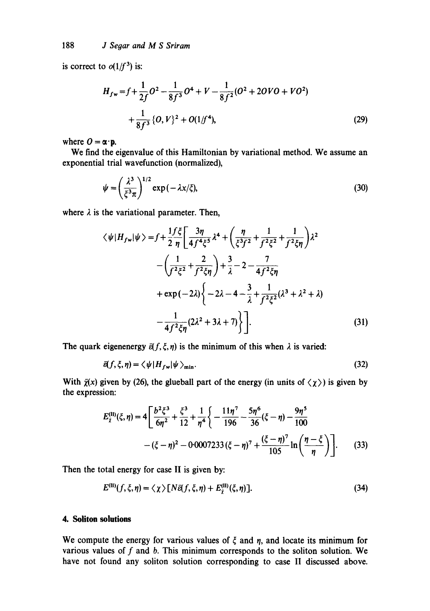is correct to  $o(1/f^3)$  is:

$$
H_{fw} = f + \frac{1}{2f}O^2 - \frac{1}{8f^3}O^4 + V - \frac{1}{8f^2}(O^2 + 2OVO + VO^2)
$$
  
+ 
$$
\frac{1}{8f^3}\{O, V\}^2 + O(1/f^4),
$$
 (29)

where  $\mathbf{O} = \alpha \cdot \mathbf{p}$ .

We find the eigenvalue of this Hamiltonian by variational method. We assume an exponential trial wavefunction (normalized),

$$
\psi = \left(\frac{\lambda^3}{\xi^3 \pi}\right)^{1/2} \exp\left(-\lambda x/\xi\right),\tag{30}
$$

where  $\lambda$  is the variational parameter. Then,

$$
\langle \psi | H_{f\mathbf{w}} | \psi \rangle = f + \frac{1}{2} \frac{f\xi}{\eta} \left[ \frac{3\eta}{4f^4\xi^5} \lambda^4 + \left( \frac{\eta}{\xi^3 f^2} + \frac{1}{f^2 \xi^2} + \frac{1}{f^2 \xi \eta} \right) \lambda^2 - \left( \frac{1}{f^2 \xi^2} + \frac{2}{f^2 \xi \eta} \right) + \frac{3}{\lambda} - 2 - \frac{7}{4f^2 \xi \eta} + \exp(-2\lambda) \left\{ -2\lambda - 4 - \frac{3}{\lambda} + \frac{1}{f^2 \xi^2} (\lambda^3 + \lambda^2 + \lambda) - \frac{1}{4f^2 \xi \eta} (2\lambda^2 + 3\lambda + 7) \right\} \right].
$$
 (31)

The quark eigenenergy  $\bar{\varepsilon}(f, \xi, \eta)$  is the minimum of this when  $\lambda$  is varied:

$$
\bar{\epsilon}(f,\xi,\eta) = \langle \psi | H_{f\mathbf{w}} | \psi \rangle_{\text{min}}.\tag{32}
$$

With  $\bar{\chi}(x)$  given by (26), the glueball part of the energy (in units of  $\langle \chi \rangle$ ) is given by the expression:

$$
E_{\tilde{\chi}}^{(II)}(\xi,\eta) = 4 \left[ \frac{b^2 \xi^3}{6\eta^2} + \frac{\xi^3}{12} + \frac{1}{\eta^4} \left\{ -\frac{11\eta^7}{196} - \frac{5\eta^6}{36} (\xi - \eta) - \frac{9\eta^5}{100} - (\xi - \eta)^2 - 0.0007233 (\xi - \eta)^7 + \frac{(\xi - \eta)^7}{105} \ln \left( \frac{\eta - \xi}{\eta} \right) \right].
$$
 (33)

Then the total energy for case II is given by:

$$
E^{(II)}(f,\xi,\eta) = \langle \chi \rangle [N\bar{\epsilon}(f,\xi,\eta) + E_{\bar{\chi}}^{(II)}(\xi,\eta)]. \tag{34}
$$

# **4. Soliton solutions**

We compute the energy for various values of  $\xi$  and  $\eta$ , and locate its minimum for various values of  $f$  and  $b$ . This minimum corresponds to the soliton solution. We have not found any soliton solution corresponding to case II discussed above.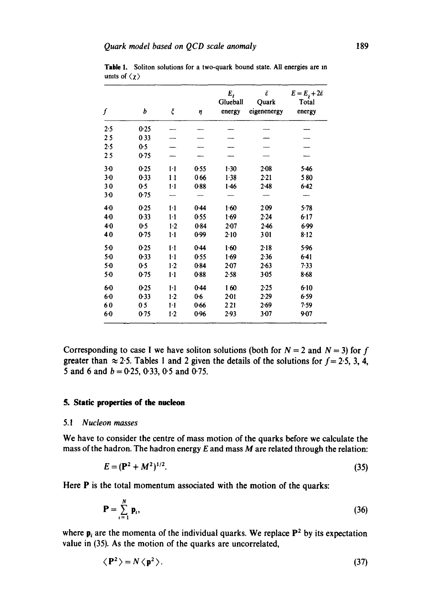| ſ       | b    | ξ       | η        | $E_{\tilde{z}}$<br>Glueball<br>energy | $\tilde{\varepsilon}$<br>Quark<br>eigenenergy | $E = Ej + 2\bar{\varepsilon}$<br>Total<br>energy |
|---------|------|---------|----------|---------------------------------------|-----------------------------------------------|--------------------------------------------------|
| 2.5     | 0.25 |         |          |                                       |                                               |                                                  |
| 25      | 033  |         |          |                                       |                                               |                                                  |
| 2.5     | 0.5  |         |          |                                       |                                               |                                                  |
| 25      | 0.75 |         |          |                                       |                                               |                                                  |
| $3-0$   | 0.25 | $1-1$   | 0.55     | 1.30                                  | 2.08                                          | 5.46                                             |
| $3-0$   | 0.33 | 11      | 066      | 1.38                                  | 2.21                                          | 580                                              |
| 30      | 0.5  | $1-1$   | 0.88     | 1.46                                  | $2-48$                                        | $6-42$                                           |
| $3 - 0$ | 0.75 |         |          |                                       |                                               |                                                  |
| $4 - 0$ | 0.25 | $1 - 1$ | 0.44     | 1.60                                  | 209                                           | 5.78                                             |
| 4.0     | 0.33 | $1-1$   | 0.55     | 1.69                                  | 2.24                                          | 6.17                                             |
| 40      | 0.5  | $1-2$   | 0.84     | $2 - 07$                              | $2 - 46$                                      | 6.99                                             |
| 40      | 0.75 | $1-1$   | 0.99     | 2.10                                  | 301                                           | 8.12                                             |
| $5-0$   | 0.25 | $1-1$   | $0 - 44$ | 1.60                                  | $2 - 18$                                      | 5.96                                             |
| 5.0     | 0.33 | $1-1$   | 0.55     | 1.69                                  | 2.36                                          | $6-41$                                           |
| $5-0$   | 0.5  | $1-2$   | 0.84     | $2 - 07$                              | $2 - 63$                                      | 7.33                                             |
| $5-0$   | 0.75 | 1·1     | 0.88     | 2.58                                  | $3 - 05$                                      | $8 - 68$                                         |
| 60      | 0.25 | $1-1$   | $0 - 44$ | 160                                   | 2.25                                          | $6 - 10$                                         |
| 6.0     | 0.33 | $1-2$   | 0.6      | $2 - 01$                              | 2.29                                          | 6.59                                             |
| 60      | 05   | $1-1$   | 0.66     | 221                                   | $2 - 69$                                      | 7.59                                             |
| 60      | 0.75 | $1-2$   | 0.96     | 2.93                                  | $3 - 07$                                      | 9.07                                             |

**Table 1. Soliton solutions for a two-quark bound state. All energies are** m **units of**  $\langle \chi \rangle$ 

Corresponding to case I we have soliton solutions (both for  $N = 2$  and  $N = 3$ ) for f greater than  $\approx$  2.5. Tables 1 and 2 given the details of the solutions for  $f = 2.5$ , 3, 4, **5 and 6 and b = 0.25, 0.33, 0.5 and 0.75.** 

# **5. Static properties of the nucleon**

#### *5.1 Nucleon masses*

**We have to consider the centre of mass motion of the quarks before we calculate the mass of the hadron. The hadron energy E and mass M are related through the relation:** 

$$
E = (\mathbf{P}^2 + M^2)^{1/2}.
$$
 (35)

**Here P is the total momentum associated with the motion of the quarks:** 

$$
\mathbf{P} = \sum_{i=1}^{N} \mathbf{p}_i, \tag{36}
$$

where  $p_i$  are the momenta of the individual quarks. We replace  $P^2$  by its expectation **value in (35). As the motion of the quarks are uncorrelated,** 

$$
\langle P^2 \rangle = N \langle p^2 \rangle. \tag{37}
$$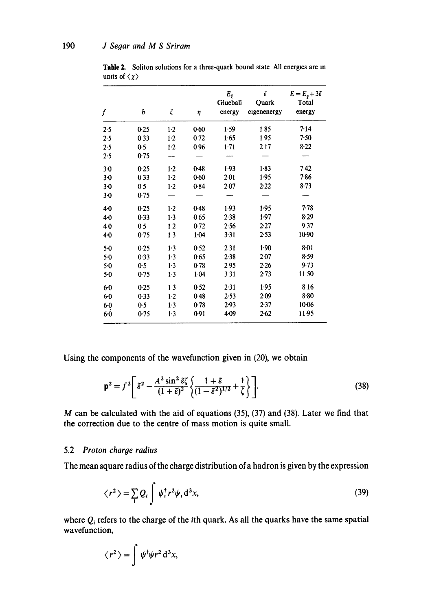| f       | b              | ξ     | η        | $E_{\tilde{\chi}}$<br>Glueball<br>energy | $\bar{\varepsilon}$<br>Quark<br>eigenenergy | $E = E_{\tilde{\chi}} + 3\bar{\varepsilon}$<br>Total<br>energy |
|---------|----------------|-------|----------|------------------------------------------|---------------------------------------------|----------------------------------------------------------------|
| 2.5     | 0.25           | $1-2$ | 0.60     | 1.59                                     | 185                                         | 7.14                                                           |
| 2.5     | 033            | $1-2$ | 072      | 1.65                                     | 195                                         | 7.50                                                           |
| 2.5     | 0.5            | 1.2   | 096      | $1-71$                                   | 217                                         | 8.22                                                           |
| 2.5     | 0.75           |       |          |                                          |                                             |                                                                |
| $3-0$   | 0.25           | $1-2$ | 0.48     | 1.93                                     | 1.83                                        | 742                                                            |
| $3-0$   | 033            | $1-2$ | $0 - 60$ | $2 - 01$                                 | 1.95                                        | 7.86                                                           |
| $3-0$   | 05             | 1.2   | 0.84     | 2.07                                     | 2.22                                        | 8.73                                                           |
| $3-0$   | 0.75           |       |          |                                          |                                             |                                                                |
| 4.0     | 0.25           | $1-2$ | 0.48     | 1.93                                     | 1.95                                        | 7.78                                                           |
| 4.0     | $0-33$         | $1-3$ | 065      | 2.38                                     | 1.97                                        | 8.29                                                           |
| 40      | 0 <sub>5</sub> | 12    | 0.72     | 2.56                                     | 2.27                                        | 937                                                            |
| 4.0     | 0.75           | 13    | 1.04     | 3.31                                     | 2.53                                        | 10.90                                                          |
| $5-0$   | 0.25           | 1.3   | 0.52     | 231                                      | 1.90                                        | $8 - 01$                                                       |
| $5-0$   | 0.33           | 1.3   | 0.65     | 2.38                                     | 207                                         | 8.59                                                           |
| 5.0     | 0.5            | 1.3   | 0.78     | 295                                      | 2.26                                        | 9.73                                                           |
| $5-0$   | 0.75           | $1-3$ | 1.04     | 331                                      | 2.73                                        | 1150                                                           |
| 60      | 0.25           | 13    | 0.52     | 2.31                                     | 1.95                                        | 816                                                            |
| $6-0$   | 0.33           | $1-2$ | 048      | 2.53                                     | 2.09                                        | $8 - 80$                                                       |
| $6 - 0$ | 0.5            | 1.3   | 0.78     | 2.93                                     | 2.37                                        | 10-06                                                          |
| $6-0$   | 0.75           | 1.3   | 0.91     | 4.09                                     | $2 - 62$                                    | $11-95$                                                        |

**Table 2. Soliton solutions for a three-quark bound state All energies are** m **units of**  $\langle \chi \rangle$ 

**Using the components of the wavefunction given in (20), we obtain** 

$$
\mathbf{p}^2 = f^2 \left[ \tilde{\varepsilon}^2 - \frac{A^2 \sin^2 \tilde{\varepsilon} \zeta}{(1+\tilde{\varepsilon})^2} \left\{ \frac{1+\tilde{\varepsilon}}{(1-\tilde{\varepsilon}^2)^{1/2}} + \frac{1}{\zeta} \right\} \right].
$$
 (38)

**M can be calculated with the aid of equations (35), (37) and (38). Later we find that the correction due to the centre of mass motion is quite small.** 

# **5.2** *Proton charge radius*

**The mean square radius of the charge distribution ofa hadron is given by the expression** 

$$
\langle r^2 \rangle = \sum_i Q_i \int \psi_i^{\dagger} r^2 \psi_i \, \mathrm{d}^3 x,\tag{39}
$$

where  $Q_i$  refers to the charge of the *i*th quark. As all the quarks have the same spatial **wavefunction,** 

$$
\langle r^2 \rangle = \int \psi^{\dagger} \psi r^2 d^3 x,
$$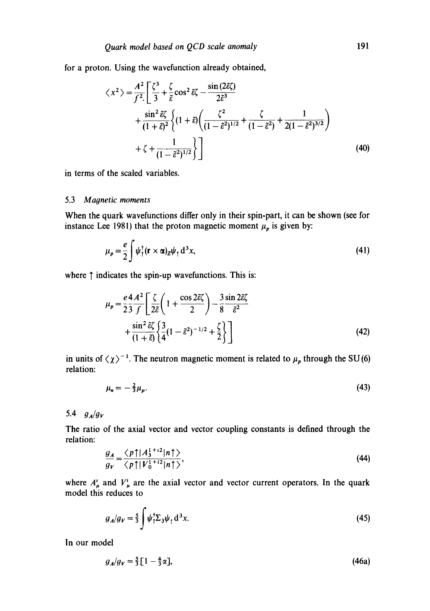for a proton. Using the wavefunction already obtained,

$$
\langle x^2 \rangle = \frac{A^2}{f^2} \left[ \frac{\zeta^3}{3} + \frac{\zeta}{\tilde{\epsilon}} \cos^2 \tilde{\epsilon} \zeta - \frac{\sin (2\tilde{\epsilon}\zeta)}{2\tilde{\epsilon}^3} + \frac{\sin^2 \tilde{\epsilon} \zeta}{(1+\tilde{\epsilon})^2} \left\{ (1+\tilde{\epsilon}) \left( \frac{\zeta^2}{(1-\tilde{\epsilon}^2)^{1/2}} + \frac{\zeta}{(1-\tilde{\epsilon}^2)} + \frac{1}{2(1-\tilde{\epsilon}^2)^{3/2}} \right) + \zeta + \frac{1}{(1-\tilde{\epsilon}^2)^{1/2}} \right\} \right]
$$
(40)

in terms of the scaled variables.

### 5.3 Magnetic moments

When the quark wavefunctions differ only in their spin-part, it can be shown (see for instance Lee 1981) that the proton magnetic moment  $\mu_p$  is given by:

$$
\mu_p = \frac{e}{2} \int \psi_{\uparrow}^{\dagger} (\mathbf{r} \times \alpha)_{Z} \psi_{\uparrow} d^3 x, \tag{41}
$$

where  $\uparrow$  indicates the spin-up wavefunctions. This is:

$$
\mu_p = \frac{e^2 A^2}{23 f} \left[ \frac{\zeta}{2\tilde{\epsilon}} \left( 1 + \frac{\cos 2\tilde{\epsilon}\zeta}{2} \right) - \frac{3 \sin 2\tilde{\epsilon}\zeta}{8 \tilde{\epsilon}^2} + \frac{\sin^2 \tilde{\epsilon}\zeta}{(1 + \tilde{\epsilon})} \left\{ \frac{3}{4} (1 - \tilde{\epsilon}^2)^{-1/2} + \frac{\zeta}{2} \right\} \right]
$$
(42)

in units of  $\langle \chi \rangle^{-1}$ . The neutron magnetic moment is related to  $\mu_p$  through the SU(6) relation:

$$
\mu_n = -\frac{2}{3}\mu_p. \tag{43}
$$

5.4  $g_A/g_V$ 

The ratio of the axial vector and vector coupling constants is defined through the relation:

$$
\frac{g_A}{g_V} = \frac{\langle p \uparrow | A_3^{1+i2} | n \uparrow \rangle}{\langle p \uparrow | V_0^{1+i2} | n \uparrow \rangle},\tag{44}
$$

where  $A^i_\mu$  and  $V^i_\mu$  are the axial vector and vector current operators. In the quark model this reduces to

$$
g_A/g_V = \frac{5}{3} \int \psi_1^{\dagger} \Sigma_3 \psi_1 \, \mathrm{d}^3 x. \tag{45}
$$

In our model

$$
g_A/g_V = \frac{5}{3} \left[ 1 - \frac{4}{3} \alpha \right],\tag{46a}
$$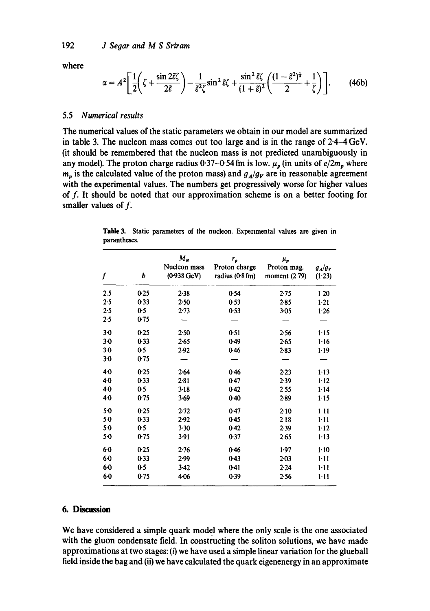**where** 

$$
\alpha = A^2 \left[ \frac{1}{2} \left( \zeta + \frac{\sin 2\tilde{\varepsilon} \zeta}{2\tilde{\varepsilon}} \right) - \frac{1}{\tilde{\varepsilon}^2 \zeta} \sin^2 \tilde{\varepsilon} \zeta + \frac{\sin^2 \tilde{\varepsilon} \zeta}{(1+\tilde{\varepsilon})^2} \left( \frac{(1-\tilde{\varepsilon}^2)^{\frac{1}{2}}}{2} + \frac{1}{\zeta} \right) \right].
$$
 (46b)

## **5.5** *Numerical results*

**The numerical values of the static parameters we obtain in our model are summarized in table 3. The nucleon mass comes out too large and is in the range of 2.4-4 GeV. (it should be remembered that the nucleon mass is not predicted unambiguously in**  any model). The proton charge radius  $0.37 - 0.54$  fm is low.  $\mu_n$  (in units of  $e/2m_n$  where  $m_p$  is the calculated value of the proton mass) and  $g_A/g_V$  are in reasonable agreement **with the experimental values. The numbers get progressively worse for higher values of f. It should be noted that our approximation scheme is on a better footing for smaller values of f.** 

| ſ     | b      | $M_{N}$<br>Nucleon mass<br>$(0.938 \text{ GeV})$ | r,<br>Proton charge<br>radius $(0.8 \text{ fm})$ | $\mu_{\rm p}$<br>Proton mag.<br>moment $(279)$ | $g_A/g_V$<br>(1.23) |
|-------|--------|--------------------------------------------------|--------------------------------------------------|------------------------------------------------|---------------------|
| 2.5   | 0.25   | 2.38                                             | 0.54                                             | 2.75                                           | 1 20                |
| 2.5   | 0.33   | 2.50                                             | 0.53                                             | $2 - 85$                                       | $1 - 21$            |
| 2.5   | 0.5    | $2 - 73$                                         | 0.53                                             | $3-0.5$                                        | 1.26                |
| 2.5   | 0.75   |                                                  |                                                  |                                                |                     |
| $3-0$ | 0.25   | 2.50                                             | 0.51                                             | 2.56                                           | $1 - 15$            |
| $3-0$ | 0.33   | 2.65                                             | $0-49$                                           | $2 - 65$                                       | 1.16                |
| $3-0$ | 0.5    | 2.92                                             | 0.46                                             | 2.83                                           | 1.19                |
| 3-0   | 0.75   |                                                  |                                                  |                                                |                     |
| 4.0   | 0.25   | 2.64                                             | 0.46                                             | 2.23                                           | $1-13$              |
| 40    | $0-33$ | $2 - 81$                                         | $0-47$                                           | 2.39                                           | $1 - 12$            |
| 40    | 0.5    | $3 - 18$                                         | 0.42                                             | 255                                            | 1.14                |
| 40    | 0.75   | 3.69                                             | 0.40                                             | $2-89$                                         | $1 - 15$            |
| $5-0$ | 0.25   | 2.72                                             | $0-47$                                           | 2.10                                           | 111                 |
| $5-0$ | 0.33   | 2.92                                             | 0.45                                             | 218                                            | $1 - 11$            |
| 5.0   | 0.5    | 3.30                                             | 0.42                                             | 2.39                                           | $1 - 12$            |
| $5-0$ | 0.75   | 3.91                                             | 0.37                                             | 265                                            | $1 - 13$            |
| 60    | 0.25   | 2.76                                             | 0.46                                             | 1.97                                           | $1 - 10$            |
| 60    | 0.33   | 2.99                                             | $0-43$                                           | $2 - 03$                                       | $1 - 11$            |
| 60    | 0.5    | $3-42$                                           | $0 - 41$                                         | 2.24                                           | $1 - 11$            |
| 60    | 0.75   | 4.06                                             | 0.39                                             | 2.56                                           | $1 - 11$            |

**Table 3. Static parameters of the nucleon. Experimental values are given in parantheses.** 

# **6. Discussion**

**We have considered a simple quark model where the only scale is the one associated with the gluon condensate field. In constructing the soliton solutions, we have made**  approximations at two stages: (i) we have used a simple linear variation for the glueball **field inside the bag and (ii) we have calculated the quark eigenenergy in an approximate**